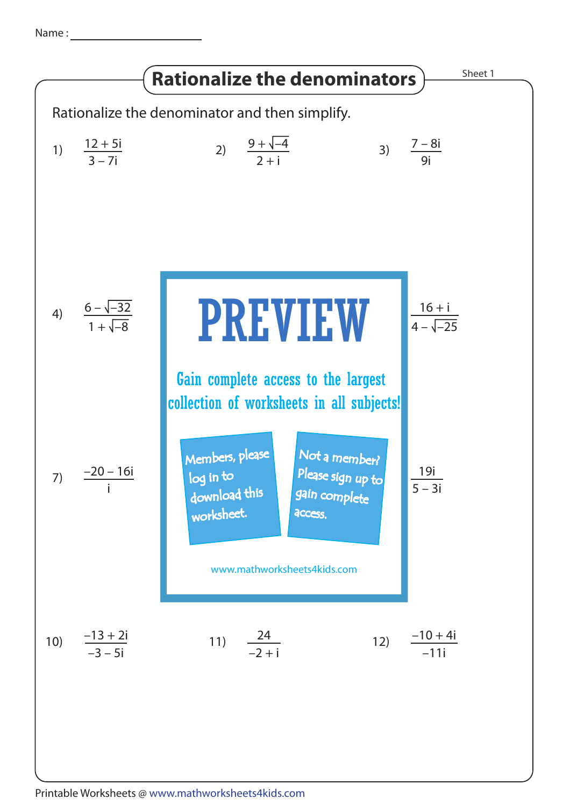Name :